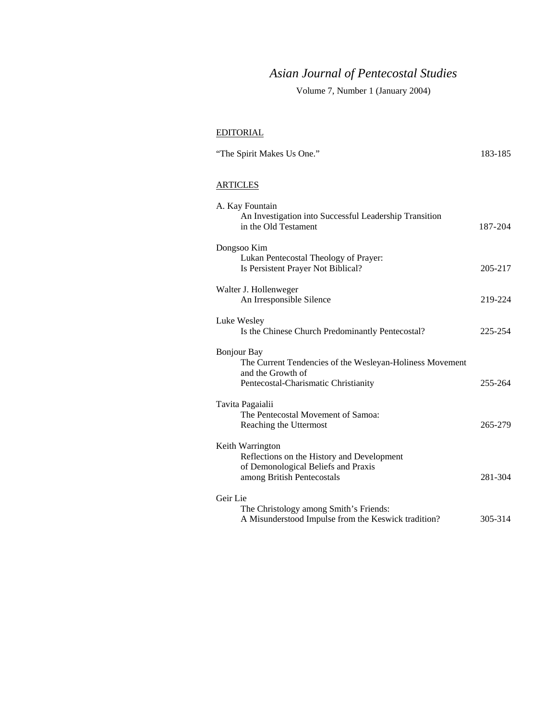# *Asian Journal of Pentecostal Studies*

Volume 7, Number 1 (January 2004)

## EDITORIAL

| "The Spirit Makes Us One." | 183-185 |
|----------------------------|---------|
|                            |         |

## **ARTICLES**

| 187-204 |
|---------|
|         |
|         |
| 205-217 |
|         |
| 219-224 |
|         |
|         |
| 225-254 |
|         |
|         |
|         |
| 255-264 |
|         |
|         |
| 265-279 |
|         |
|         |
|         |
|         |
| 281-304 |
|         |
|         |
| 305-314 |
|         |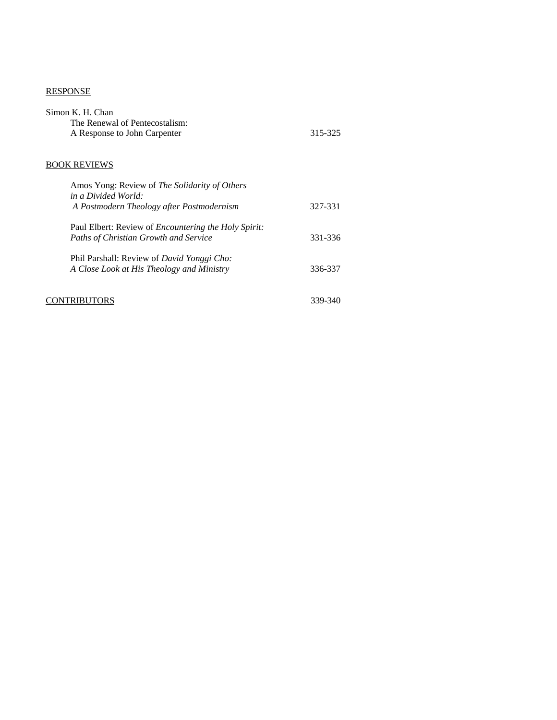### RESPONSE

| Simon K. H. Chan<br>The Renewal of Pentecostalism:<br>A Response to John Carpenter                          | 315-325 |
|-------------------------------------------------------------------------------------------------------------|---------|
| <b>BOOK REVIEWS</b>                                                                                         |         |
| Amos Yong: Review of <i>The Solidarity of Others</i>                                                        |         |
| in a Divided World:<br>A Postmodern Theology after Postmodernism                                            | 327-331 |
| Paul Elbert: Review of <i>Encountering the Holy Spirit:</i><br><b>Paths of Christian Growth and Service</b> | 331-336 |
| Phil Parshall: Review of David Yonggi Cho:<br>A Close Look at His Theology and Ministry                     | 336-337 |
|                                                                                                             | 339-340 |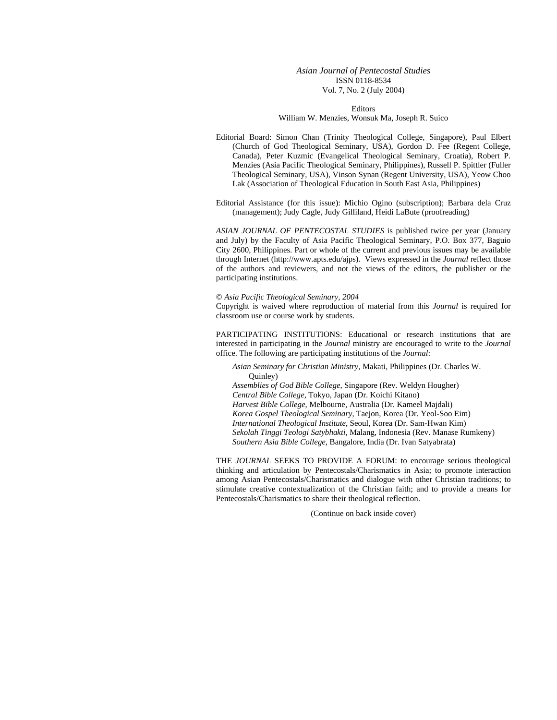#### *Asian Journal of Pentecostal Studies*  ISSN 0118-8534 Vol. 7, No. 2 (July 2004)

Editors William W. Menzies, Wonsuk Ma, Joseph R. Suico

Editorial Board: Simon Chan (Trinity Theological College, Singapore), Paul Elbert (Church of God Theological Seminary, USA), Gordon D. Fee (Regent College, Canada), Peter Kuzmic (Evangelical Theological Seminary, Croatia), Robert P. Menzies (Asia Pacific Theological Seminary, Philippines), Russell P. Spittler (Fuller Theological Seminary, USA), Vinson Synan (Regent University, USA), Yeow Choo Lak (Association of Theological Education in South East Asia, Philippines)

Editorial Assistance (for this issue): Michio Ogino (subscription); Barbara dela Cruz (management); Judy Cagle, Judy Gilliland, Heidi LaBute (proofreading)

*ASIAN JOURNAL OF PENTECOSTAL STUDIES* is published twice per year (January and July) by the Faculty of Asia Pacific Theological Seminary, P.O. Box 377, Baguio City 2600, Philippines. Part or whole of the current and previous issues may be available through Internet (http://www.apts.edu/ajps). Views expressed in the *Journal* reflect those of the authors and reviewers, and not the views of the editors, the publisher or the participating institutions.

#### © *Asia Pacific Theological Seminary, 2004*

Copyright is waived where reproduction of material from this *Journal* is required for classroom use or course work by students.

PARTICIPATING INSTITUTIONS: Educational or research institutions that are interested in participating in the *Journal* ministry are encouraged to write to the *Journal* office. The following are participating institutions of the *Journal*:

*Asian Seminary for Christian Ministry*, Makati, Philippines (Dr. Charles W. Quinley) *Assemblies of God Bible College*, Singapore (Rev. Weldyn Hougher)

*Central Bible College,* Tokyo, Japan (Dr. Koichi Kitano) *Harvest Bible College*, Melbourne, Australia (Dr. Kameel Majdali) *Korea Gospel Theological Seminary*, Taejon, Korea (Dr. Yeol-Soo Eim) *International Theological Institute*, Seoul, Korea (Dr. Sam-Hwan Kim) *Sekolah Tinggi Teologi Satybhakti*, Malang, Indonesia (Rev. Manase Rumkeny) *Southern Asia Bible College*, Bangalore, India (Dr. Ivan Satyabrata)

THE *JOURNAL* SEEKS TO PROVIDE A FORUM: to encourage serious theological thinking and articulation by Pentecostals/Charismatics in Asia; to promote interaction among Asian Pentecostals/Charismatics and dialogue with other Christian traditions; to stimulate creative contextualization of the Christian faith; and to provide a means for Pentecostals/Charismatics to share their theological reflection.

(Continue on back inside cover)